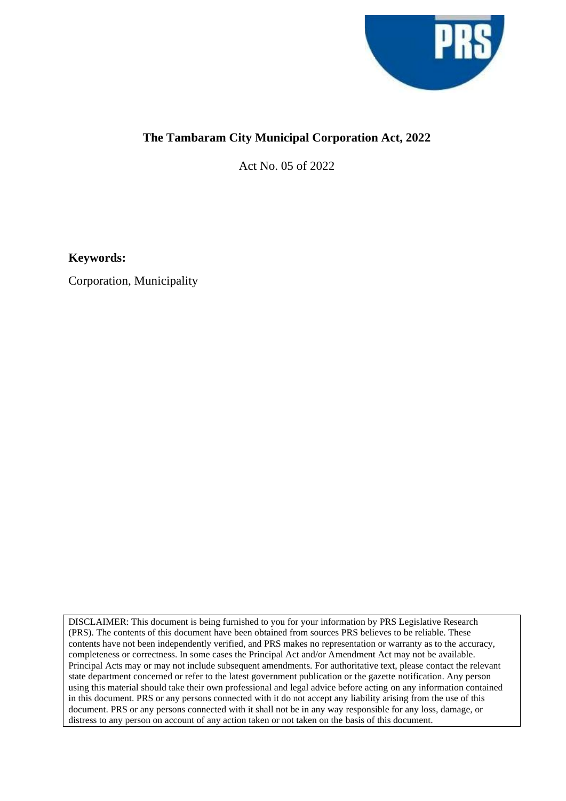

## **The Tambaram City Municipal Corporation Act, 2022**

Act No. 05 of 2022

**Keywords:**

Corporation, Municipality

DISCLAIMER: This document is being furnished to you for your information by PRS Legislative Research (PRS). The contents of this document have been obtained from sources PRS believes to be reliable. These contents have not been independently verified, and PRS makes no representation or warranty as to the accuracy, completeness or correctness. In some cases the Principal Act and/or Amendment Act may not be available. Principal Acts may or may not include subsequent amendments. For authoritative text, please contact the relevant state department concerned or refer to the latest government publication or the gazette notification. Any person using this material should take their own professional and legal advice before acting on any information contained in this document. PRS or any persons connected with it do not accept any liability arising from the use of this document. PRS or any persons connected with it shall not be in any way responsible for any loss, damage, or distress to any person on account of any action taken or not taken on the basis of this document.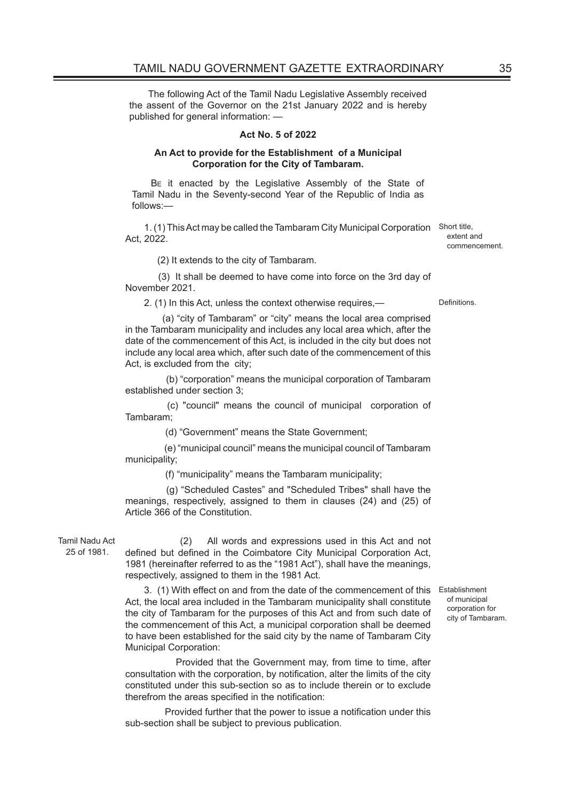The following Act of the Tamil Nadu Legislative Assembly received the assent of the Governor on the 21st January 2022 and is hereby published for general information: —

## **Act No. 5 of 2022**

## **An Act to provide for the Establishment of a Municipal Corporation for the City of Tambaram.**

B<sub>E</sub> it enacted by the Legislative Assembly of the State of Tamil Nadu in the Seventy-second Year of the Republic of India as follows:—

1. (1) This Act may be called the Tambaram City Municipal Corporation Short title, Act, 2022.

(2) It extends to the city of Tambaram.

 (3) It shall be deemed to have come into force on the 3rd day of November 2021.

2. (1) In this Act, unless the context otherwise requires,— Definitions.

 (a) "city of Tambaram" or "city" means the local area comprised in the Tambaram municipality and includes any local area which, after the date of the commencement of this Act, is included in the city but does not include any local area which, after such date of the commencement of this Act, is excluded from the city;

 (b) "corporation" means the municipal corporation of Tambaram established under section 3;

 (c) "council" means the council of municipal corporation of Tambaram;

(d) "Government" means the State Government;

 (e) "municipal council" means the municipal council of Tambaram municipality;

(f) "municipality" means the Tambaram municipality;

 (g) "Scheduled Castes" and "Scheduled Tribes" shall have the meanings, respectively, assigned to them in clauses (24) and (25) of Article 366 of the Constitution.

Tamil Nadu Act 25 of 1981.

 (2) All words and expressions used in this Act and not defined but defined in the Coimbatore City Municipal Corporation Act, 1981 (hereinafter referred to as the "1981 Act"), shall have the meanings, respectively, assigned to them in the 1981 Act.

3. (1) With effect on and from the date of the commencement of this Establishment Act, the local area included in the Tambaram municipality shall constitute the city of Tambaram for the purposes of this Act and from such date of the commencement of this Act, a municipal corporation shall be deemed to have been established for the said city by the name of Tambaram City Municipal Corporation:

 Provided that the Government may, from time to time, after consultation with the corporation, by notification, alter the limits of the city constituted under this sub-section so as to include therein or to exclude therefrom the areas specified in the notification:

 Provided further that the power to issue a notification under this sub-section shall be subject to previous publication.

of municipal corporation for city of Tambaram.

extent and commencement.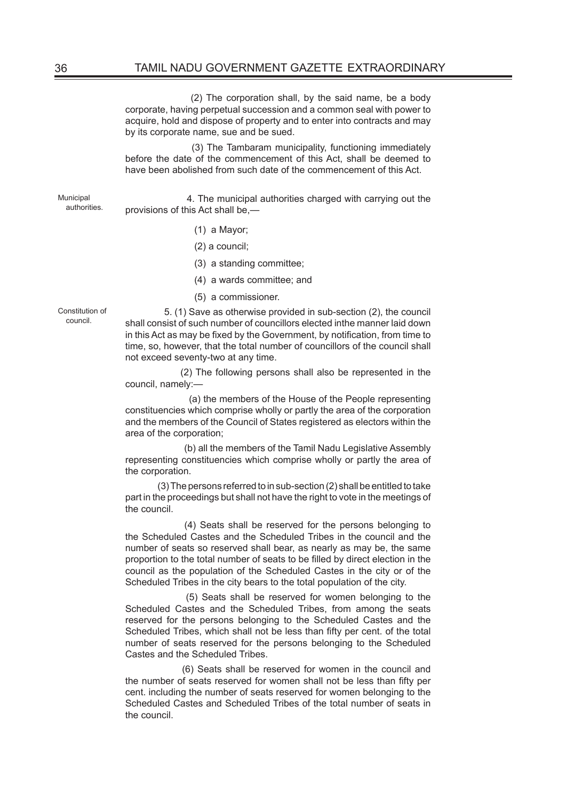(2) The corporation shall, by the said name, be a body corporate, having perpetual succession and a common seal with power to acquire, hold and dispose of property and to enter into contracts and may by its corporate name, sue and be sued.

 (3) The Tambaram municipality, functioning immediately before the date of the commencement of this Act, shall be deemed to have been abolished from such date of the commencement of this Act.

Municipal authorities.

 4. The municipal authorities charged with carrying out the provisions of this Act shall be,—

- (1) a Mayor;
- (2) a council;
- (3) a standing committee;
- (4) a wards committee; and
- (5) a commissioner.

Constitution of council.

 5. (1) Save as otherwise provided in sub-section (2), the council shall consist of such number of councillors elected inthe manner laid down in this Act as may be fixed by the Government, by notification, from time to time, so, however, that the total number of councillors of the council shall not exceed seventy-two at any time.

 (2) The following persons shall also be represented in the council, namely:—

 (a) the members of the House of the People representing constituencies which comprise wholly or partly the area of the corporation and the members of the Council of States registered as electors within the area of the corporation;

 (b) all the members of the Tamil Nadu Legislative Assembly representing constituencies which comprise wholly or partly the area of the corporation.

 (3) The persons referred to in sub-section (2) shall be entitled to take part in the proceedings but shall not have the right to vote in the meetings of the council.

 (4) Seats shall be reserved for the persons belonging to the Scheduled Castes and the Scheduled Tribes in the council and the number of seats so reserved shall bear, as nearly as may be, the same proportion to the total number of seats to be filled by direct election in the council as the population of the Scheduled Castes in the city or of the Scheduled Tribes in the city bears to the total population of the city.

 (5) Seats shall be reserved for women belonging to the Scheduled Castes and the Scheduled Tribes, from among the seats reserved for the persons belonging to the Scheduled Castes and the Scheduled Tribes, which shall not be less than fifty per cent. of the total number of seats reserved for the persons belonging to the Scheduled Castes and the Scheduled Tribes.

 (6) Seats shall be reserved for women in the council and the number of seats reserved for women shall not be less than fifty per cent. including the number of seats reserved for women belonging to the Scheduled Castes and Scheduled Tribes of the total number of seats in the council.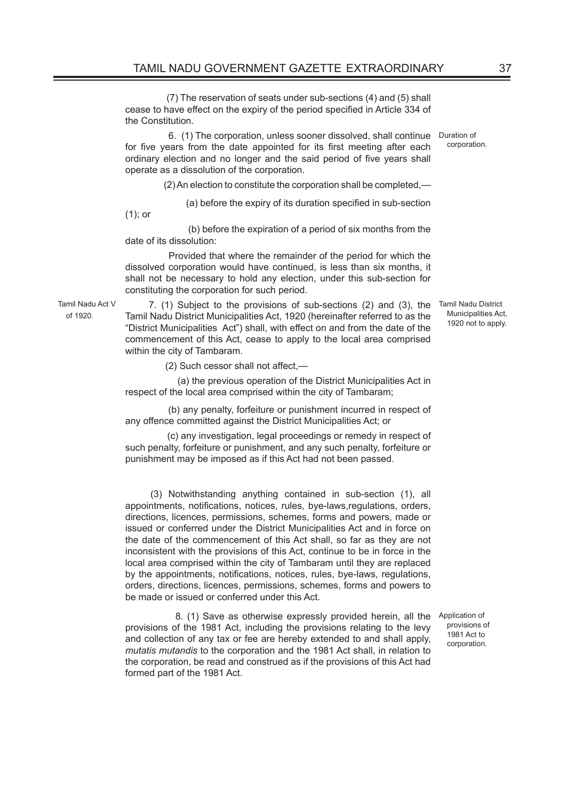(7) The reservation of seats under sub-sections (4) and (5) shall cease to have effect on the expiry of the period specified in Article 334 of the Constitution.

 6. (1) The corporation, unless sooner dissolved, shall continue Duration of for five years from the date appointed for its first meeting after each ordinary election and no longer and the said period of five years shall operate as a dissolution of the corporation. corporation.

(2) An election to constitute the corporation shall be completed,—

(a) before the expiry of its duration specified in sub-section

(1); or

 (b) before the expiration of a period of six months from the date of its dissolution:

 Provided that where the remainder of the period for which the dissolved corporation would have continued, is less than six months, it shall not be necessary to hold any election, under this sub-section for constituting the corporation for such period.

Tamil Nadu Act V of 1920.

 7. (1) Subject to the provisions of sub-sections (2) and (3), the Tamil Nadu District Municipalities Act, 1920 (hereinafter referred to as the "District Municipalities Act") shall, with effect on and from the date of the commencement of this Act, cease to apply to the local area comprised within the city of Tambaram.

(2) Such cessor shall not affect,—

 (a) the previous operation of the District Municipalities Act in respect of the local area comprised within the city of Tambaram;

 (b) any penalty, forfeiture or punishment incurred in respect of any offence committed against the District Municipalities Act; or

 (c) any investigation, legal proceedings or remedy in respect of such penalty, forfeiture or punishment, and any such penalty, forfeiture or punishment may be imposed as if this Act had not been passed.

 (3) Notwithstanding anything contained in sub-section (1), all appointments, notifications, notices, rules, bye-laws,regulations, orders, directions, licences, permissions, schemes, forms and powers, made or issued or conferred under the District Municipalities Act and in force on the date of the commencement of this Act shall, so far as they are not inconsistent with the provisions of this Act, continue to be in force in the local area comprised within the city of Tambaram until they are replaced by the appointments, notifications, notices, rules, bye-laws, regulations, orders, directions, licences, permissions, schemes, forms and powers to be made or issued or conferred under this Act.

 8. (1) Save as otherwise expressly provided herein, all the provisions of the 1981 Act, including the provisions relating to the levy and collection of any tax or fee are hereby extended to and shall apply, *mutatis mutandis* to the corporation and the 1981 Act shall, in relation to the corporation, be read and construed as if the provisions of this Act had formed part of the 1981 Act.

Application of provisions of 1981 Act to corporation.

Tamil Nadu District Municipalities Act, 1920 not to apply.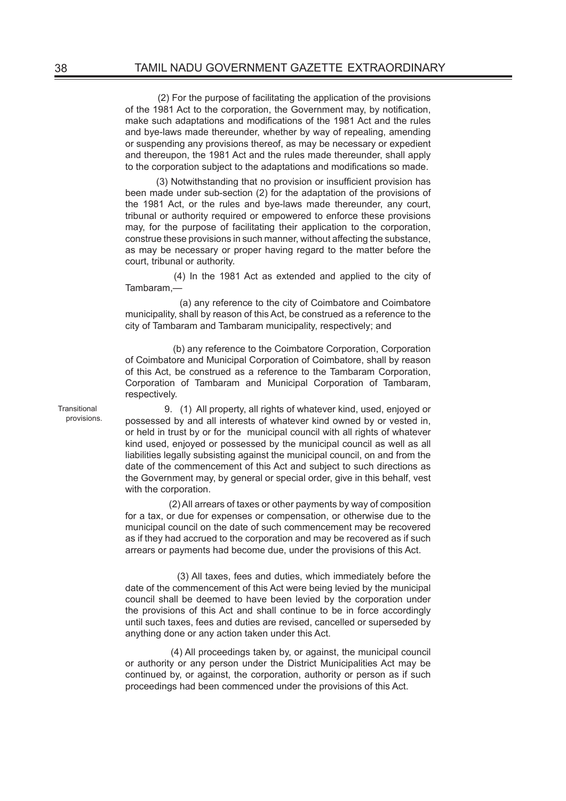(2) For the purpose of facilitating the application of the provisions of the 1981 Act to the corporation, the Government may, by notification, make such adaptations and modifications of the 1981 Act and the rules and bye-laws made thereunder, whether by way of repealing, amending or suspending any provisions thereof, as may be necessary or expedient and thereupon, the 1981 Act and the rules made thereunder, shall apply to the corporation subject to the adaptations and modifications so made.

 (3) Notwithstanding that no provision or insufficient provision has been made under sub-section (2) for the adaptation of the provisions of the 1981 Act, or the rules and bye-laws made thereunder, any court, tribunal or authority required or empowered to enforce these provisions may, for the purpose of facilitating their application to the corporation, construe these provisions in such manner, without affecting the substance, as may be necessary or proper having regard to the matter before the court, tribunal or authority.

 (4) In the 1981 Act as extended and applied to the city of Tambaram,—

 (a) any reference to the city of Coimbatore and Coimbatore municipality, shall by reason of this Act, be construed as a reference to the city of Tambaram and Tambaram municipality, respectively; and

 (b) any reference to the Coimbatore Corporation, Corporation of Coimbatore and Municipal Corporation of Coimbatore, shall by reason of this Act, be construed as a reference to the Tambaram Corporation, Corporation of Tambaram and Municipal Corporation of Tambaram, respectively.

**Transitional** provisions.

 9. (1) All property, all rights of whatever kind, used, enjoyed or possessed by and all interests of whatever kind owned by or vested in, or held in trust by or for the municipal council with all rights of whatever kind used, enjoyed or possessed by the municipal council as well as all liabilities legally subsisting against the municipal council, on and from the date of the commencement of this Act and subject to such directions as the Government may, by general or special order, give in this behalf, vest with the corporation.

 (2) All arrears of taxes or other payments by way of composition for a tax, or due for expenses or compensation, or otherwise due to the municipal council on the date of such commencement may be recovered as if they had accrued to the corporation and may be recovered as if such arrears or payments had become due, under the provisions of this Act.

 (3) All taxes, fees and duties, which immediately before the date of the commencement of this Act were being levied by the municipal council shall be deemed to have been levied by the corporation under the provisions of this Act and shall continue to be in force accordingly until such taxes, fees and duties are revised, cancelled or superseded by anything done or any action taken under this Act.

 (4) All proceedings taken by, or against, the municipal council or authority or any person under the District Municipalities Act may be continued by, or against, the corporation, authority or person as if such proceedings had been commenced under the provisions of this Act.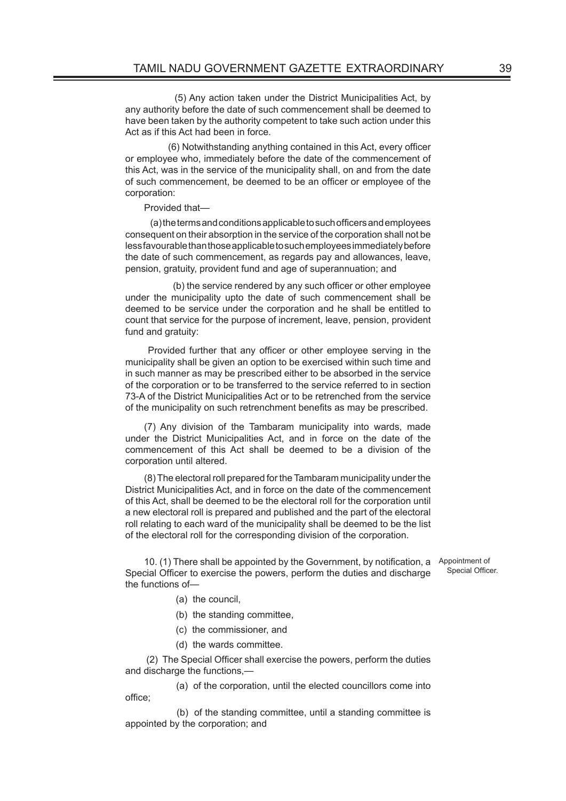(5) Any action taken under the District Municipalities Act, by any authority before the date of such commencement shall be deemed to have been taken by the authority competent to take such action under this Act as if this Act had been in force.

 (6) Notwithstanding anything contained in this Act, every officer or employee who, immediately before the date of the commencement of this Act, was in the service of the municipality shall, on and from the date of such commencement, be deemed to be an officer or employee of the corporation:

Provided that—

 (a) the terms and conditions applicable to such officers and employees consequent on their absorption in the service of the corporation shall not be less favourable than those applicable to such employees immediately before the date of such commencement, as regards pay and allowances, leave, pension, gratuity, provident fund and age of superannuation; and

 (b) the service rendered by any such officer or other employee under the municipality upto the date of such commencement shall be deemed to be service under the corporation and he shall be entitled to count that service for the purpose of increment, leave, pension, provident fund and gratuity:

 Provided further that any officer or other employee serving in the municipality shall be given an option to be exercised within such time and in such manner as may be prescribed either to be absorbed in the service of the corporation or to be transferred to the service referred to in section 73-A of the District Municipalities Act or to be retrenched from the service of the municipality on such retrenchment benefits as may be prescribed.

(7) Any division of the Tambaram municipality into wards, made under the District Municipalities Act, and in force on the date of the commencement of this Act shall be deemed to be a division of the corporation until altered.

(8) The electoral roll prepared for the Tambaram municipality under the District Municipalities Act, and in force on the date of the commencement of this Act, shall be deemed to be the electoral roll for the corporation until a new electoral roll is prepared and published and the part of the electoral roll relating to each ward of the municipality shall be deemed to be the list of the electoral roll for the corresponding division of the corporation.

10. (1) There shall be appointed by the Government, by notification, a Appointment of Special Officer to exercise the powers, perform the duties and discharge the functions of— Special Officer.

- (a) the council,
- (b) the standing committee,
- (c) the commissioner, and
- (d) the wards committee.

 (2) The Special Officer shall exercise the powers, perform the duties and discharge the functions,—

 (a) of the corporation, until the elected councillors come into office;

 (b) of the standing committee, until a standing committee is appointed by the corporation; and